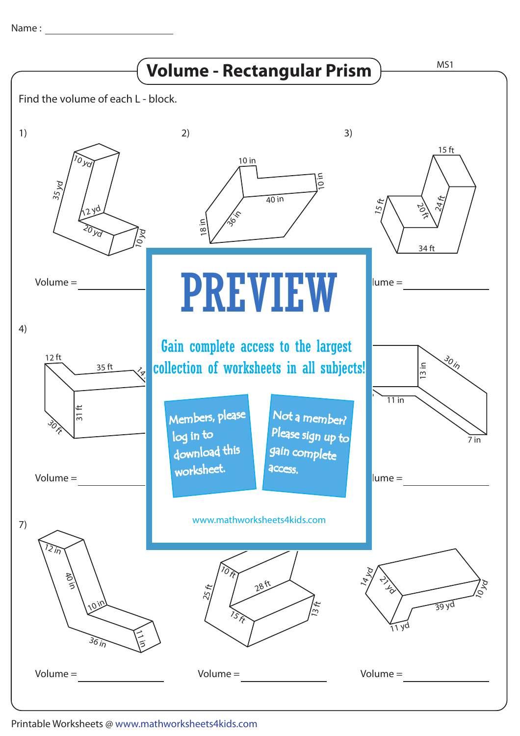Name :



Printable Worksheets @ www.mathworksheets4kids.com